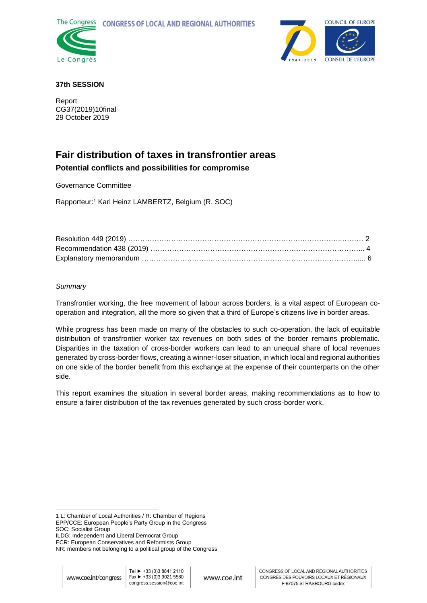



## **37th SESSION**

Report CG37(2019)10final 29 October 2019

# **Fair distribution of taxes in transfrontier areas Potential conflicts and possibilities for compromise**

Governance Committee

Rapporteur: <sup>1</sup> Karl Heinz LAMBERTZ, Belgium (R, SOC)

## *Summary*

Transfrontier working, the free movement of labour across borders, is a vital aspect of European cooperation and integration, all the more so given that a third of Europe's citizens live in border areas.

While progress has been made on many of the obstacles to such co-operation, the lack of equitable distribution of transfrontier worker tax revenues on both sides of the border remains problematic. Disparities in the taxation of cross-border workers can lead to an unequal share of local revenues generated by cross-border flows, creating a winner-loser situation, in which local and regional authorities on one side of the border benefit from this exchange at the expense of their counterparts on the other side.

This report examines the situation in several border areas, making recommendations as to how to ensure a fairer distribution of the tax revenues generated by such cross-border work.

<sup>-</sup>1 L: Chamber of Local Authorities / R: Chamber of Regions EPP/CCE: European People's Party Group in the Congress SOC: Socialist Group

ILDG: Independent and Liberal Democrat Group

ECR: European Conservatives and Reformists Group

NR: members not belonging to a political group of the Congress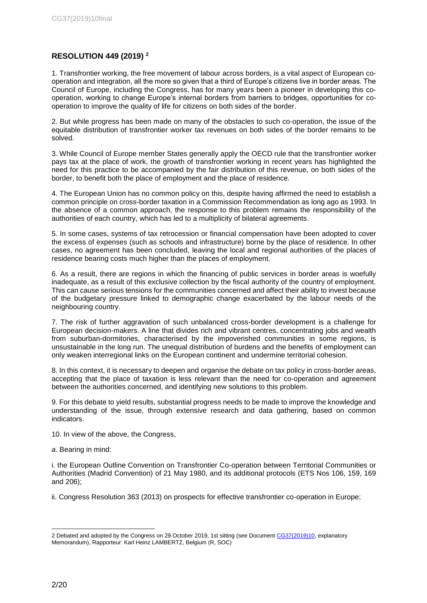## **RESOLUTION 449 (2019) <sup>2</sup>**

1. Transfrontier working, the free movement of labour across borders, is a vital aspect of European cooperation and integration, all the more so given that a third of Europe's citizens live in border areas. The Council of Europe, including the Congress, has for many years been a pioneer in developing this cooperation, working to change Europe's internal borders from barriers to bridges, opportunities for cooperation to improve the quality of life for citizens on both sides of the border.

2. But while progress has been made on many of the obstacles to such co-operation, the issue of the equitable distribution of transfrontier worker tax revenues on both sides of the border remains to be solved.

3. While Council of Europe member States generally apply the OECD rule that the transfrontier worker pays tax at the place of work, the growth of transfrontier working in recent years has highlighted the need for this practice to be accompanied by the fair distribution of this revenue, on both sides of the border, to benefit both the place of employment and the place of residence.

4. The European Union has no common policy on this, despite having affirmed the need to establish a common principle on cross-border taxation in a Commission Recommendation as long ago as 1993. In the absence of a common approach, the response to this problem remains the responsibility of the authorities of each country, which has led to a multiplicity of bilateral agreements.

5. In some cases, systems of tax retrocession or financial compensation have been adopted to cover the excess of expenses (such as schools and infrastructure) borne by the place of residence. In other cases, no agreement has been concluded, leaving the local and regional authorities of the places of residence bearing costs much higher than the places of employment.

6. As a result, there are regions in which the financing of public services in border areas is woefully inadequate, as a result of this exclusive collection by the fiscal authority of the country of employment. This can cause serious tensions for the communities concerned and affect their ability to invest because of the budgetary pressure linked to demographic change exacerbated by the labour needs of the neighbouring country.

7. The risk of further aggravation of such unbalanced cross-border development is a challenge for European decision-makers. A line that divides rich and vibrant centres, concentrating jobs and wealth from suburban-dormitories, characterised by the impoverished communities in some regions, is unsustainable in the long run. The unequal distribution of burdens and the benefits of employment can only weaken interregional links on the European continent and undermine territorial cohesion.

8. In this context, it is necessary to deepen and organise the debate on tax policy in cross-border areas, accepting that the place of taxation is less relevant than the need for co-operation and agreement between the authorities concerned, and identifying new solutions to this problem.

9. For this debate to yield results, substantial progress needs to be made to improve the knowledge and understanding of the issue, through extensive research and data gathering, based on common indicators.

10. In view of the above, the Congress,

*a*. Bearing in mind:

i. the European Outline Convention on Transfrontier Co-operation between Territorial Communities or Authorities (Madrid Convention) of 21 May 1980, and its additional protocols (ETS Nos 106, 159, 169 and 206);

ii. Congress Resolution 363 (2013) on prospects for effective transfrontier co-operation in Europe;

<sup>-</sup>2 Debated and adopted by the Congress on 29 October 2019, 1st sitting (see Document [CG37\(2019\)10,](https://rm.coe.int/fair-distribution-of-taxes-in-transfrontier-areas-potential-conflicts-/168097f09d) explanatory Memorandum), Rapporteur: Karl Heinz LAMBERTZ, Belgium (R, SOC)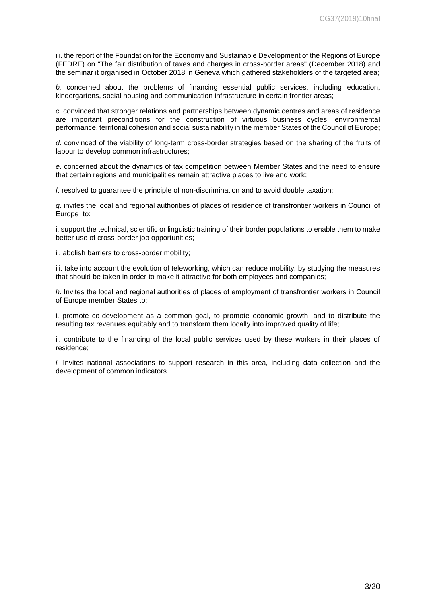iii. the report of the Foundation for the Economy and Sustainable Development of the Regions of Europe (FEDRE) on "The fair distribution of taxes and charges in cross-border areas" (December 2018) and the seminar it organised in October 2018 in Geneva which gathered stakeholders of the targeted area;

*b.* concerned about the problems of financing essential public services, including education, kindergartens, social housing and communication infrastructure in certain frontier areas;

*c*. convinced that stronger relations and partnerships between dynamic centres and areas of residence are important preconditions for the construction of virtuous business cycles, environmental performance, territorial cohesion and social sustainability in the member States of the Council of Europe;

*d*. convinced of the viability of long-term cross-border strategies based on the sharing of the fruits of labour to develop common infrastructures;

*e*. concerned about the dynamics of tax competition between Member States and the need to ensure that certain regions and municipalities remain attractive places to live and work;

*f*. resolved to guarantee the principle of non-discrimination and to avoid double taxation;

*g*. invites the local and regional authorities of places of residence of transfrontier workers in Council of Europe to:

i. support the technical, scientific or linguistic training of their border populations to enable them to make better use of cross-border job opportunities;

ii. abolish barriers to cross-border mobility;

iii. take into account the evolution of teleworking, which can reduce mobility, by studying the measures that should be taken in order to make it attractive for both employees and companies;

*h*. Invites the local and regional authorities of places of employment of transfrontier workers in Council of Europe member States to:

i. promote co-development as a common goal, to promote economic growth, and to distribute the resulting tax revenues equitably and to transform them locally into improved quality of life;

ii. contribute to the financing of the local public services used by these workers in their places of residence;

*i.* Invites national associations to support research in this area, including data collection and the development of common indicators.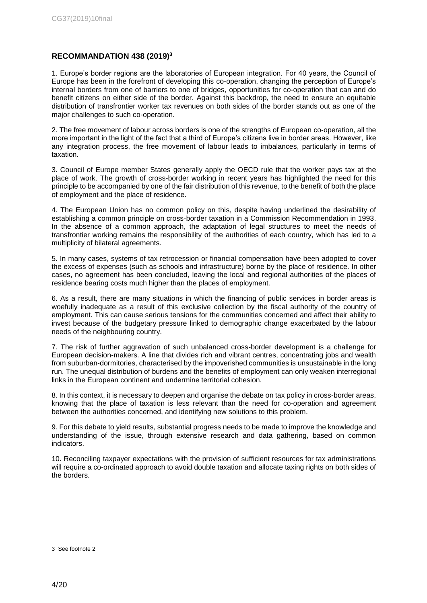## **RECOMMANDATION 438 (2019)<sup>3</sup>**

1. Europe's border regions are the laboratories of European integration. For 40 years, the Council of Europe has been in the forefront of developing this co-operation, changing the perception of Europe's internal borders from one of barriers to one of bridges, opportunities for co-operation that can and do benefit citizens on either side of the border. Against this backdrop, the need to ensure an equitable distribution of transfrontier worker tax revenues on both sides of the border stands out as one of the major challenges to such co-operation.

2. The free movement of labour across borders is one of the strengths of European co-operation, all the more important in the light of the fact that a third of Europe's citizens live in border areas. However, like any integration process, the free movement of labour leads to imbalances, particularly in terms of taxation.

3. Council of Europe member States generally apply the OECD rule that the worker pays tax at the place of work. The growth of cross-border working in recent years has highlighted the need for this principle to be accompanied by one of the fair distribution of this revenue, to the benefit of both the place of employment and the place of residence.

4. The European Union has no common policy on this, despite having underlined the desirability of establishing a common principle on cross-border taxation in a Commission Recommendation in 1993. In the absence of a common approach, the adaptation of legal structures to meet the needs of transfrontier working remains the responsibility of the authorities of each country, which has led to a multiplicity of bilateral agreements.

5. In many cases, systems of tax retrocession or financial compensation have been adopted to cover the excess of expenses (such as schools and infrastructure) borne by the place of residence. In other cases, no agreement has been concluded, leaving the local and regional authorities of the places of residence bearing costs much higher than the places of employment.

6. As a result, there are many situations in which the financing of public services in border areas is woefully inadequate as a result of this exclusive collection by the fiscal authority of the country of employment. This can cause serious tensions for the communities concerned and affect their ability to invest because of the budgetary pressure linked to demographic change exacerbated by the labour needs of the neighbouring country.

7. The risk of further aggravation of such unbalanced cross-border development is a challenge for European decision-makers. A line that divides rich and vibrant centres, concentrating jobs and wealth from suburban-dormitories, characterised by the impoverished communities is unsustainable in the long run. The unequal distribution of burdens and the benefits of employment can only weaken interregional links in the European continent and undermine territorial cohesion.

8. In this context, it is necessary to deepen and organise the debate on tax policy in cross-border areas, knowing that the place of taxation is less relevant than the need for co-operation and agreement between the authorities concerned, and identifying new solutions to this problem.

9. For this debate to yield results, substantial progress needs to be made to improve the knowledge and understanding of the issue, through extensive research and data gathering, based on common indicators.

10. Reconciling taxpayer expectations with the provision of sufficient resources for tax administrations will require a co-ordinated approach to avoid double taxation and allocate taxing rights on both sides of the borders.

<sup>3</sup> See footnote 2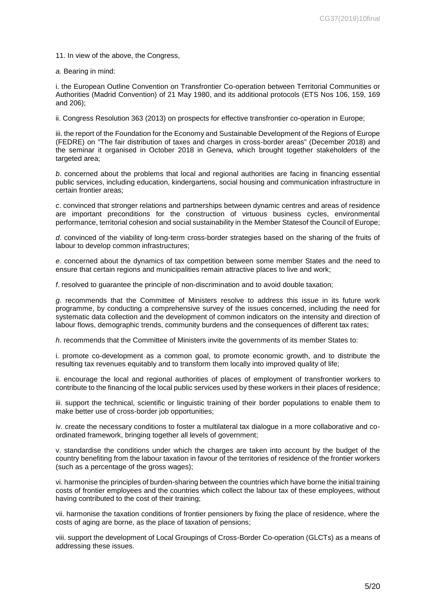11. In view of the above, the Congress,

*a.* Bearing in mind:

i. the European Outline Convention on Transfrontier Co-operation between Territorial Communities or Authorities (Madrid Convention) of 21 May 1980, and its additional protocols (ETS Nos 106, 159, 169 and 206);

ii. Congress Resolution 363 (2013) on prospects for effective transfrontier co-operation in Europe;

iii. the report of the Foundation for the Economy and Sustainable Development of the Regions of Europe (FEDRE) on "The fair distribution of taxes and charges in cross-border areas" (December 2018) and the seminar it organised in October 2018 in Geneva, which brought together stakeholders of the targeted area;

*b*. concerned about the problems that local and regional authorities are facing in financing essential public services, including education, kindergartens, social housing and communication infrastructure in certain frontier areas;

*c*. convinced that stronger relations and partnerships between dynamic centres and areas of residence are important preconditions for the construction of virtuous business cycles, environmental performance, territorial cohesion and social sustainability in the Member Statesof the Council of Europe;

*d*. convinced of the viability of long-term cross-border strategies based on the sharing of the fruits of labour to develop common infrastructures;

*e*. concerned about the dynamics of tax competition between some member States and the need to ensure that certain regions and municipalities remain attractive places to live and work;

*f*. resolved to guarantee the principle of non-discrimination and to avoid double taxation;

*g*. recommends that the Committee of Ministers resolve to address this issue in its future work programme, by conducting a comprehensive survey of the issues concerned, including the need for systematic data collection and the development of common indicators on the intensity and direction of labour flows, demographic trends, community burdens and the consequences of different tax rates;

*h*. recommends that the Committee of Ministers invite the governments of its member States to:

i. promote co-development as a common goal, to promote economic growth, and to distribute the resulting tax revenues equitably and to transform them locally into improved quality of life;

ii. encourage the local and regional authorities of places of employment of transfrontier workers to contribute to the financing of the local public services used by these workers in their places of residence;

iii. support the technical, scientific or linguistic training of their border populations to enable them to make better use of cross-border job opportunities;

iv. create the necessary conditions to foster a multilateral tax dialogue in a more collaborative and coordinated framework, bringing together all levels of government;

v. standardise the conditions under which the charges are taken into account by the budget of the country benefiting from the labour taxation in favour of the territories of residence of the frontier workers (such as a percentage of the gross wages);

vi. harmonise the principles of burden-sharing between the countries which have borne the initial training costs of frontier employees and the countries which collect the labour tax of these employees, without having contributed to the cost of their training;

vii. harmonise the taxation conditions of frontier pensioners by fixing the place of residence, where the costs of aging are borne, as the place of taxation of pensions;

viii. support the development of Local Groupings of Cross-Border Co-operation (GLCTs) as a means of addressing these issues.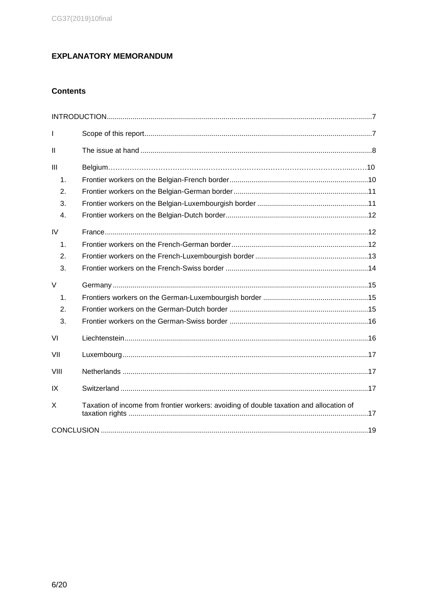## **EXPLANATORY MEMORANDUM**

## **Contents**

| T            |                                                                                         |  |
|--------------|-----------------------------------------------------------------------------------------|--|
| $\mathbf{I}$ |                                                                                         |  |
| III          |                                                                                         |  |
| 1.           |                                                                                         |  |
| 2.           |                                                                                         |  |
| 3.           |                                                                                         |  |
| 4.           |                                                                                         |  |
| IV           |                                                                                         |  |
| 1.           |                                                                                         |  |
| 2.           |                                                                                         |  |
| 3.           |                                                                                         |  |
| $\vee$       |                                                                                         |  |
| 1.           |                                                                                         |  |
| 2.           |                                                                                         |  |
| 3.           |                                                                                         |  |
|              |                                                                                         |  |
| VI           |                                                                                         |  |
| VII          |                                                                                         |  |
| VIII         |                                                                                         |  |
| IX           |                                                                                         |  |
| X            | Taxation of income from frontier workers: avoiding of double taxation and allocation of |  |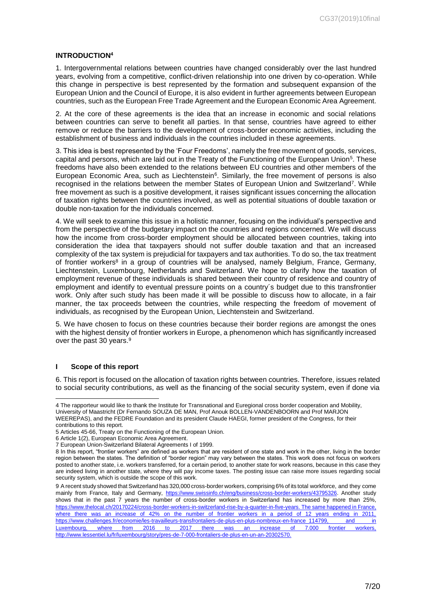#### <span id="page-6-0"></span>**INTRODUCTION<sup>4</sup>**

1. Intergovernmental relations between countries have changed considerably over the last hundred years, evolving from a competitive, conflict-driven relationship into one driven by co-operation. While this change in perspective is best represented by the formation and subsequent expansion of the European Union and the Council of Europe, it is also evident in further agreements between European countries, such as the European Free Trade Agreement and the European Economic Area Agreement.

2. At the core of these agreements is the idea that an increase in economic and social relations between countries can serve to benefit all parties. In that sense, countries have agreed to either remove or reduce the barriers to the development of cross-border economic activities, including the establishment of business and individuals in the countries included in these agreements.

3. This idea is best represented by the 'Four Freedoms', namely the free movement of goods, services, capital and persons, which are laid out in the Treaty of the Functioning of the European Union<sup>5</sup>. These freedoms have also been extended to the relations between EU countries and other members of the European Economic Area, such as Liechtenstein<sup>6</sup>. Similarly, the free movement of persons is also recognised in the relations between the member States of European Union and Switzerland<sup>7</sup> . While free movement as such is a positive development, it raises significant issues concerning the allocation of taxation rights between the countries involved, as well as potential situations of double taxation or double non-taxation for the individuals concerned.

4. We will seek to examine this issue in a holistic manner, focusing on the individual's perspective and from the perspective of the budgetary impact on the countries and regions concerned. We will discuss how the income from cross-border employment should be allocated between countries, taking into consideration the idea that taxpayers should not suffer double taxation and that an increased complexity of the tax system is prejudicial for taxpayers and tax authorities. To do so, the tax treatment of frontier workers<sup>8</sup> in a group of countries will be analysed, namely Belgium, France, Germany, Liechtenstein, Luxembourg, Netherlands and Switzerland. We hope to clarify how the taxation of employment revenue of these individuals is shared between their country of residence and country of employment and identify to eventual pressure points on a country´s budget due to this transfrontier work. Only after such study has been made it will be possible to discuss how to allocate, in a fair manner, the tax proceeds between the countries, while respecting the freedom of movement of individuals, as recognised by the European Union, Liechtenstein and Switzerland.

5. We have chosen to focus on these countries because their border regions are amongst the ones with the highest density of frontier workers in Europe, a phenomenon which has significantly increased over the past 30 years.<sup>9</sup>

#### <span id="page-6-1"></span>**I Scope of this report**

-

6. This report is focused on the allocation of taxation rights between countries. Therefore, issues related to social security contributions, as well as the financing of the social security system, even if done via

<sup>4</sup> The rapporteur would like to thank the Institute for Transnational and Euregional cross border cooperation and Mobility, University of Maastricht (Dr Fernando SOUZA DE MAN, Prof Anouk BOLLEN-VANDENBOORN and Prof MARJON WEEREPAS), and the FEDRE Foundation and its president Claude HAEGI, former president of the Congress, for their contributions to this report.

<sup>5</sup> Articles 45-66, Treaty on the Functioning of the European Union.

<sup>6</sup> Article 1(2), European Economic Area Agreement.

<sup>7</sup> European Union-Switzerland Bilateral Agreements I of 1999.

<sup>8</sup> In this report, "frontier workers" are defined as workers that are resident of one state and work in the other, living in the border region between the states. The definition of "border region" may vary between the states. This work does not focus on workers posted to another state, i.e. workers transferred, for a certain period, to another state for work reasons, because in this case they are indeed living in another state, where they will pay income taxes. The posting issue can raise more issues regarding social security system, which is outside the scope of this work.

<sup>9</sup> A recent study showed that Switzerland has 320,000 cross-border workers, comprising 6% of its total workforce, and they come mainly from France, Italy and Germany, https:/[/www.swissinfo.ch/eng/business/cross-border-workers/43795326. A](http://www.swissinfo.ch/eng/business/cross-border-workers/43795326)nother study shows that in the past 7 years the number of cross-border workers in Switzerland has increased by more than 25%, https:[//www.thelocal.ch/20170224/cross-border-workers-in-switzerland-rise-by-a-quarter-in-five-years.](http://www.thelocal.ch/20170224/cross-border-workers-in-switzerland-rise-by-a-quarter-in-five-years) The same happened in France, where there was an increase of 42% on the number of frontier workers in a period of 12 years ending in 2011, [https://www.challenges.fr/economie/les-travailleurs-transfrontaliers-de-plus-en-plus-nombreux-en-france\\_114799,](https://www.challenges.fr/economie/les-travailleurs-transfrontaliers-de-plus-en-plus-nombreux-en-france_114799) and in Luxembourg, where from 2016 to 2017 there was an increase of 7.000 frontier workers, http://www.lessentiel.lu/fr/luxembourg/story/pres-de-7-000-frontaliers-de-plus-en-un-an-20302570.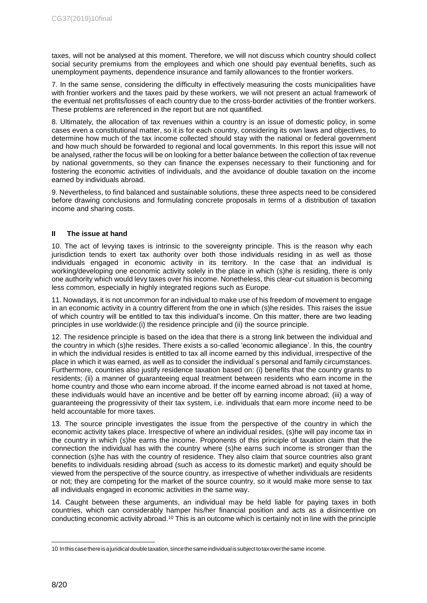taxes, will not be analysed at this moment. Therefore, we will not discuss which country should collect social security premiums from the employees and which one should pay eventual benefits, such as unemployment payments, dependence insurance and family allowances to the frontier workers.

7. In the same sense, considering the difficulty in effectively measuring the costs municipalities have with frontier workers and the taxes paid by these workers, we will not present an actual framework of the eventual net profits/losses of each country due to the cross-border activities of the frontier workers. These problems are referenced in the report but are not quantified.

8. Ultimately, the allocation of tax revenues within a country is an issue of domestic policy, in some cases even a constitutional matter, so it is for each country, considering its own laws and objectives, to determine how much of the tax income collected should stay with the national or federal government and how much should be forwarded to regional and local governments. In this report this issue will not be analysed, rather the focus will be on looking for a better balance between the collection of tax revenue by national governments, so they can finance the expenses necessary to their functioning and for fostering the economic activities of individuals, and the avoidance of double taxation on the income earned by individuals abroad.

9. Nevertheless, to find balanced and sustainable solutions, these three aspects need to be considered before drawing conclusions and formulating concrete proposals in terms of a distribution of taxation income and sharing costs.

#### <span id="page-7-0"></span>**II The issue at hand**

10. The act of levying taxes is intrinsic to the sovereignty principle. This is the reason why each jurisdiction tends to exert tax authority over both those individuals residing in as well as those individuals engaged in economic activity in its territory. In the case that an individual is working/developing one economic activity solely in the place in which (s)he is residing, there is only one authority which would levy taxes over his income. Nonetheless, this clear-cut situation is becoming less common, especially in highly integrated regions such as Europe.

11. Nowadays, it is not uncommon for an individual to make use of his freedom of movement to engage in an economic activity in a country different from the one in which (s)he resides. This raises the issue of which country will be entitled to tax this individual's income. On this matter, there are two leading principles in use worldwide:(i) the residence principle and (ii) the source principle.

12. The residence principle is based on the idea that there is a strong link between the individual and the country in which (s)he resides. There exists a so-called 'economic allegiance'. In this, the country in which the individual resides is entitled to tax all income earned by this individual, irrespective of the place in which it was earned, as well as to consider the individual´s personal and family circumstances. Furthermore, countries also justify residence taxation based on: (i) benefits that the country grants to residents; (ii) a manner of guaranteeing equal treatment between residents who earn income in the home country and those who earn income abroad. If the income earned abroad is not taxed at home, these individuals would have an incentive and be better off by earning income abroad; (iii) a way of guaranteeing the progressivity of their tax system, i.e. individuals that earn more income need to be held accountable for more taxes.

13. The source principle investigates the issue from the perspective of the country in which the economic activity takes place. Irrespective of where an individual resides, (s)he will pay income tax in the country in which (s)he earns the income. Proponents of this principle of taxation claim that the connection the individual has with the country where (s)he earns such income is stronger than the connection (s)he has with the country of residence. They also claim that source countries also grant benefits to individuals residing abroad (such as access to its domestic market) and equity should be viewed from the perspective of the source country, as irrespective of whether individuals are residents or not; they are competing for the market of the source country, so it would make more sense to tax all individuals engaged in economic activities in the same way.

14. Caught between these arguments, an individual may be held liable for paying taxes in both countries, which can considerably hamper his/her financial position and acts as a disincentive on conducting economic activity abroad.<sup>10</sup> This is an outcome which is certainly not in line with the principle

<sup>10</sup> Inthiscasethereisajuridicaldoubletaxation, sincethesameindividual issubjecttotaxoverthesame income.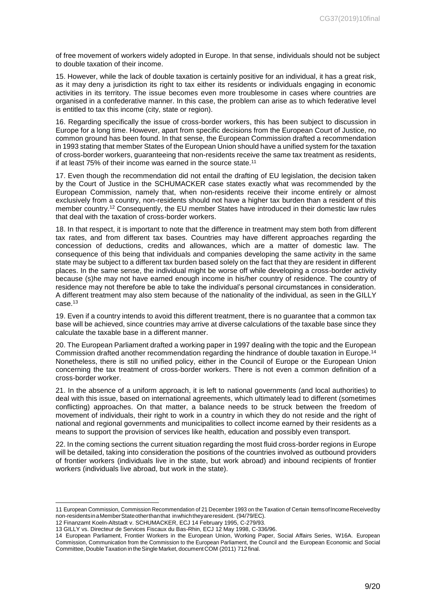of free movement of workers widely adopted in Europe. In that sense, individuals should not be subject to double taxation of their income.

15. However, while the lack of double taxation is certainly positive for an individual, it has a great risk, as it may deny a jurisdiction its right to tax either its residents or individuals engaging in economic activities in its territory. The issue becomes even more troublesome in cases where countries are organised in a confederative manner. In this case, the problem can arise as to which federative level is entitled to tax this income (city, state or region).

16. Regarding specifically the issue of cross-border workers, this has been subject to discussion in Europe for a long time. However, apart from specific decisions from the European Court of Justice, no common ground has been found. In that sense, the European Commission drafted a recommendation in 1993 stating that member States of the European Union should have a unified system for the taxation of cross-border workers, guaranteeing that non-residents receive the same tax treatment as residents, if at least  $75\%$  of their income was earned in the source state.<sup>11</sup>

17. Even though the recommendation did not entail the drafting of EU legislation, the decision taken by the Court of Justice in the SCHUMACKER case states exactly what was recommended by the European Commission, namely that, when non-residents receive their income entirely or almost exclusively from a country, non-residents should not have a higher tax burden than a resident of this member country.<sup>12</sup> Consequently, the EU member States have introduced in their domestic law rules that deal with the taxation of cross-border workers.

18. In that respect, it is important to note that the difference in treatment may stem both from different tax rates, and from different tax bases. Countries may have different approaches regarding the concession of deductions, credits and allowances, which are a matter of domestic law. The consequence of this being that individuals and companies developing the same activity in the same state may be subject to a different tax burden based solely on the fact that they are resident in different places. In the same sense, the individual might be worse off while developing a cross-border activity because (s)he may not have earned enough income in his/her country of residence. The country of residence may not therefore be able to take the individual's personal circumstances in consideration. A different treatment may also stem because of the nationality of the individual, as seen in the GILLY case.<sup>13</sup>

19. Even if a country intends to avoid this different treatment, there is no guarantee that a common tax base will be achieved, since countries may arrive at diverse calculations of the taxable base since they calculate the taxable base in a different manner.

20. The European Parliament drafted a working paper in 1997 dealing with the topic and the European Commission drafted another recommendation regarding the hindrance of double taxation in Europe.<sup>14</sup> Nonetheless, there is still no unified policy, either in the Council of Europe or the European Union concerning the tax treatment of cross-border workers. There is not even a common definition of a cross-border worker.

21. In the absence of a uniform approach, it is left to national governments (and local authorities) to deal with this issue, based on international agreements, which ultimately lead to different (sometimes conflicting) approaches. On that matter, a balance needs to be struck between the freedom of movement of individuals, their right to work in a country in which they do not reside and the right of national and regional governments and municipalities to collect income earned by their residents as a means to support the provision of services like health, education and possibly even transport.

22. In the coming sections the current situation regarding the most fluid cross-border regions in Europe will be detailed, taking into consideration the positions of the countries involved as outbound providers of frontier workers (individuals live in the state, but work abroad) and inbound recipients of frontier workers (individuals live abroad, but work in the state).

<sup>11</sup> European Commission, Commission Recommendation of 21 December 1993 on the Taxation of Certain ItemsofIncomeReceivedby non-residentsinaMemberStateotherthanthat inwhichtheyareresident. (94/79/EC).

<sup>12</sup> Finanzamt Koeln-Altstadt v. SCHUMACKER, ECJ 14 February 1995, C-279/93.

<sup>13</sup> GILLY vs. Directeur de Services Fiscaux du Bas-Rhin, ECJ 12 May 1998, C-336/96.

<sup>14</sup> European Parliament, Frontier Workers in the European Union, Working Paper, Social Affairs Series, W16A. European Commission, Communication from the Commission to the European Parliament, the Council and the European Economic and Social Committee, Double Taxation in the Single Market, document COM (2011) 712 final.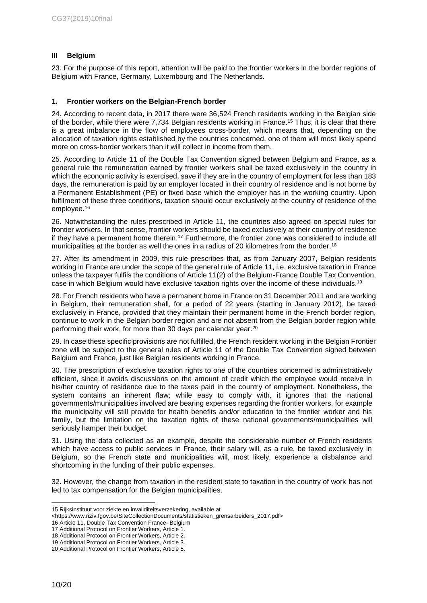## <span id="page-9-0"></span>**III Belgium**

23. For the purpose of this report, attention will be paid to the frontier workers in the border regions of Belgium with France, Germany, Luxembourg and The Netherlands.

#### <span id="page-9-1"></span>**1. Frontier workers on the Belgian-French border**

24. According to recent data, in 2017 there were 36,524 French residents working in the Belgian side of the border, while there were 7,734 Belgian residents working in France. <sup>15</sup> Thus, it is clear that there is a great imbalance in the flow of employees cross-border, which means that, depending on the allocation of taxation rights established by the countries concerned, one of them will most likely spend more on cross-border workers than it will collect in income from them.

25. According to Article 11 of the Double Tax Convention signed between Belgium and France, as a general rule the remuneration earned by frontier workers shall be taxed exclusively in the country in which the economic activity is exercised, save if they are in the country of employment for less than 183 days, the remuneration is paid by an employer located in their country of residence and is not borne by a Permanent Establishment (PE) or fixed base which the employer has in the working country. Upon fulfilment of these three conditions, taxation should occur exclusively at the country of residence of the employee. 16

26. Notwithstanding the rules prescribed in Article 11, the countries also agreed on special rules for frontier workers. In that sense, frontier workers should be taxed exclusively at their country of residence if they have a permanent home therein.<sup>17</sup> Furthermore, the frontier zone was considered to include all municipalities at the border as well the ones in a radius of 20 kilometres from the border.<sup>18</sup>

27. After its amendment in 2009, this rule prescribes that, as from January 2007, Belgian residents working in France are under the scope of the general rule of Article 11, i.e. exclusive taxation in France unless the taxpayer fulfils the conditions of Article 11(2) of the Belgium-France Double Tax Convention, case in which Belgium would have exclusive taxation rights over the income of these individuals. 19

28. For French residents who have a permanent home in France on 31 December 2011 and are working in Belgium, their remuneration shall, for a period of 22 years (starting in January 2012), be taxed exclusively in France, provided that they maintain their permanent home in the French border region, continue to work in the Belgian border region and are not absent from the Belgian border region while performing their work, for more than 30 days per calendar year. 20

29. In case these specific provisions are not fulfilled, the French resident working in the Belgian Frontier zone will be subject to the general rules of Article 11 of the Double Tax Convention signed between Belgium and France, just like Belgian residents working in France.

30. The prescription of exclusive taxation rights to one of the countries concerned is administratively efficient, since it avoids discussions on the amount of credit which the employee would receive in his/her country of residence due to the taxes paid in the country of employment. Nonetheless, the system contains an inherent flaw; while easy to comply with, it ignores that the national governments/municipalities involved are bearing expenses regarding the frontier workers, for example the municipality will still provide for health benefits and/or education to the frontier worker and his family, but the limitation on the taxation rights of these national governments/municipalities will seriously hamper their budget.

31. Using the data collected as an example, despite the considerable number of French residents which have access to public services in France, their salary will, as a rule, be taxed exclusively in Belgium, so the French state and municipalities will, most likely, experience a disbalance and shortcoming in the funding of their public expenses.

32. However, the change from taxation in the resident state to taxation in the country of work has not led to tax compensation for the Belgian municipalities.

16 Article 11, Double Tax Convention France- Belgium

<sup>-</sup>15 Rijksinstituut voor ziekte en invaliditeitsverzekering, available at

<sup>&</sup>lt;https://www.riziv.fgov.be/SiteCollectionDocuments/statistieken\_grensarbeiders\_2017.pdf>

<sup>17</sup> Additional Protocol on Frontier Workers, Article 1.

<sup>18</sup> Additional Protocol on Frontier Workers, Article 2.

<sup>19</sup> Additional Protocol on Frontier Workers, Article 3.

<sup>20</sup> Additional Protocol on Frontier Workers, Article 5.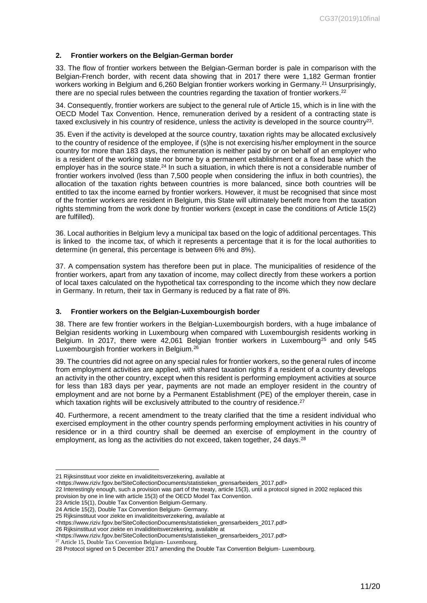## <span id="page-10-0"></span>**2. Frontier workers on the Belgian-German border**

33. The flow of frontier workers between the Belgian-German border is pale in comparison with the Belgian-French border, with recent data showing that in 2017 there were 1,182 German frontier workers working in Belgium and 6,260 Belgian frontier workers working in Germany.<sup>21</sup> Unsurprisingly, there are no special rules between the countries regarding the taxation of frontier workers.<sup>22</sup>

34. Consequently, frontier workers are subject to the general rule of Article 15, which is in line with the OECD Model Tax Convention. Hence, remuneration derived by a resident of a contracting state is taxed exclusively in his country of residence, unless the activity is developed in the source country<sup>23</sup>.

35. Even if the activity is developed at the source country, taxation rights may be allocated exclusively to the country of residence of the employee, if (s)he is not exercising his/her employment in the source country for more than 183 days, the remuneration is neither paid by or on behalf of an employer who is a resident of the working state nor borne by a permanent establishment or a fixed base which the employer has in the source state.<sup>24</sup> In such a situation, in which there is not a considerable number of frontier workers involved (less than 7,500 people when considering the influx in both countries), the allocation of the taxation rights between countries is more balanced, since both countries will be entitled to tax the income earned by frontier workers. However, it must be recognised that since most of the frontier workers are resident in Belgium, this State will ultimately benefit more from the taxation rights stemming from the work done by frontier workers (except in case the conditions of Article 15(2) are fulfilled).

36. Local authorities in Belgium levy a municipal tax based on the logic of additional percentages. This is linked to the income tax, of which it represents a percentage that it is for the local authorities to determine (in general, this percentage is between 6% and 8%).

37. A compensation system has therefore been put in place. The municipalities of residence of the frontier workers, apart from any taxation of income, may collect directly from these workers a portion of local taxes calculated on the hypothetical tax corresponding to the income which they now declare in Germany. In return, their tax in Germany is reduced by a flat rate of 8%.

#### <span id="page-10-1"></span>**3. Frontier workers on the Belgian-Luxembourgish border**

38. There are few frontier workers in the Belgian-Luxembourgish borders, with a huge imbalance of Belgian residents working in Luxembourg when compared with Luxembourgish residents working in Belgium. In 2017, there were 42,061 Belgian frontier workers in Luxembourg<sup>25</sup> and only 545 Luxembourgish frontier workers in Belgium.<sup>26</sup>

39. The countries did not agree on any special rules for frontier workers, so the general rules of income from employment activities are applied, with shared taxation rights if a resident of a country develops an activity in the other country, except when this resident is performing employment activities at source for less than 183 days per year, payments are not made an employer resident in the country of employment and are not borne by a Permanent Establishment (PE) of the employer therein, case in which taxation rights will be exclusively attributed to the country of residence.<sup>27</sup>

40. Furthermore, a recent amendment to the treaty clarified that the time a resident individual who exercised employment in the other country spends performing employment activities in his country of residence or in a third country shall be deemed an exercise of employment in the country of employment, as long as the activities do not exceed, taken together, 24 days.<sup>28</sup>

<sup>21</sup> Rijksinstituut voor ziekte en invaliditeitsverzekering, available at

<sup>&</sup>lt;https://www.riziv.fgov.be/SiteCollectionDocuments/statistieken\_grensarbeiders\_2017.pdf>

<sup>22</sup> Interestingly enough, such a provision was part of the treaty, article 15(3), until a protocol signed in 2002 replaced this provision by one in line with article 15(3) of the OECD Model Tax Convention.

<sup>23</sup> Article 15(1), Double Tax Convention Belgium-Germany.

<sup>24</sup> Article 15(2), Double Tax Convention Belgium- Germany.

<sup>25</sup> Rijksinstituut voor ziekte en invaliditeitsverzekering, available at

<sup>&</sup>lt;https://www.riziv.fgov.be/SiteCollectionDocuments/statistieken\_grensarbeiders\_2017.pdf>

<sup>26</sup> Rijksinstituut voor ziekte en invaliditeitsverzekering, available at

<sup>&</sup>lt;https://www.riziv.fgov.be/SiteCollectionDocuments/statistieken\_grensarbeiders\_2017.pdf>

<sup>27</sup> Article 15, Double Tax Convention Belgium- Luxembourg.

<sup>28</sup> Protocol signed on 5 December 2017 amending the Double Tax Convention Belgium- Luxembourg.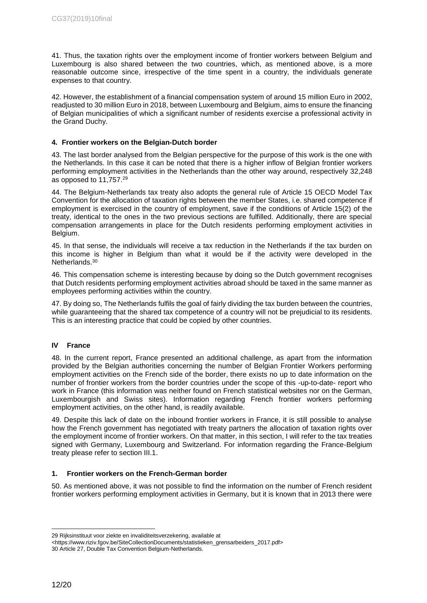41. Thus, the taxation rights over the employment income of frontier workers between Belgium and Luxembourg is also shared between the two countries, which, as mentioned above, is a more reasonable outcome since, irrespective of the time spent in a country, the individuals generate expenses to that country.

42. However, the establishment of a financial compensation system of around 15 million Euro in 2002, readjusted to 30 million Euro in 2018, between Luxembourg and Belgium, aims to ensure the financing of Belgian municipalities of which a significant number of residents exercise a professional activity in the Grand Duchy.

#### <span id="page-11-0"></span>**4. Frontier workers on the Belgian-Dutch border**

43. The last border analysed from the Belgian perspective for the purpose of this work is the one with the Netherlands. In this case it can be noted that there is a higher inflow of Belgian frontier workers performing employment activities in the Netherlands than the other way around, respectively 32,248 as opposed to 11,757. 29

44. The Belgium-Netherlands tax treaty also adopts the general rule of Article 15 OECD Model Tax Convention for the allocation of taxation rights between the member States, i.e. shared competence if employment is exercised in the country of employment, save if the conditions of Article 15(2) of the treaty, identical to the ones in the two previous sections are fulfilled. Additionally, there are special compensation arrangements in place for the Dutch residents performing employment activities in Belgium.

45. In that sense, the individuals will receive a tax reduction in the Netherlands if the tax burden on this income is higher in Belgium than what it would be if the activity were developed in the Netherlands. 30

46. This compensation scheme is interesting because by doing so the Dutch government recognises that Dutch residents performing employment activities abroad should be taxed in the same manner as employees performing activities within the country.

47. By doing so, The Netherlands fulfils the goal of fairly dividing the tax burden between the countries, while guaranteeing that the shared tax competence of a country will not be prejudicial to its residents. This is an interesting practice that could be copied by other countries.

#### <span id="page-11-1"></span>**IV France**

48. In the current report, France presented an additional challenge, as apart from the information provided by the Belgian authorities concerning the number of Belgian Frontier Workers performing employment activities on the French side of the border, there exists no up to date information on the number of frontier workers from the border countries under the scope of this -up-to-date- report who work in France (this information was neither found on French statistical websites nor on the German, Luxembourgish and Swiss sites). Information regarding French frontier workers performing employment activities, on the other hand, is readily available.

49. Despite this lack of date on the inbound frontier workers in France, it is still possible to analyse how the French government has negotiated with treaty partners the allocation of taxation rights over the employment income of frontier workers. On that matter, in this section, I will refer to the tax treaties signed with Germany, Luxembourg and Switzerland. For information regarding the France-Belgium treaty please refer to section III.1.

#### <span id="page-11-2"></span>**1. Frontier workers on the French-German border**

50. As mentioned above, it was not possible to find the information on the number of French resident frontier workers performing employment activities in Germany, but it is known that in 2013 there were

<sup>29</sup> Rijksinstituut voor ziekte en invaliditeitsverzekering, available at

<sup>&</sup>lt;https://www.riziv.fgov.be/SiteCollectionDocuments/statistieken\_grensarbeiders\_2017.pdf> 30 Article 27, Double Tax Convention Belgium-Netherlands.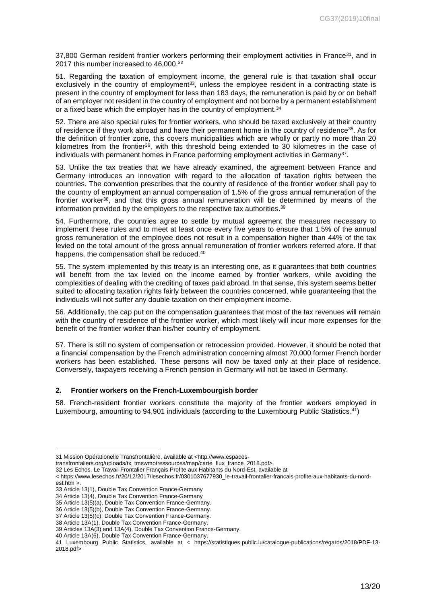37,800 German resident frontier workers performing their employment activities in France<sup>31</sup>, and in 2017 this number increased to 46,000. 32

51. Regarding the taxation of employment income, the general rule is that taxation shall occur exclusively in the country of employment<sup>33</sup>, unless the employee resident in a contracting state is present in the country of employment for less than 183 days, the remuneration is paid by or on behalf of an employer not resident in the country of employment and not borne by a permanent establishment or a fixed base which the employer has in the country of employment.<sup>34</sup>

52. There are also special rules for frontier workers, who should be taxed exclusively at their country of residence if they work abroad and have their permanent home in the country of residence<sup>35</sup>. As for the definition of frontier zone, this covers municipalities which are wholly or partly no more than 20 kilometres from the frontier<sup>36</sup>, with this threshold being extended to 30 kilometres in the case of individuals with permanent homes in France performing employment activities in Germany $^{\text{37}}$ .

53. Unlike the tax treaties that we have already examined, the agreement between France and Germany introduces an innovation with regard to the allocation of taxation rights between the countries. The convention prescribes that the country of residence of the frontier worker shall pay to the country of employment an annual compensation of 1.5% of the gross annual remuneration of the frontier worker<sup>38</sup>, and that this gross annual remuneration will be determined by means of the information provided by the employers to the respective tax authorities. 39

54. Furthermore, the countries agree to settle by mutual agreement the measures necessary to implement these rules and to meet at least once every five years to ensure that 1.5% of the annual gross remuneration of the employee does not result in a compensation higher than 44% of the tax levied on the total amount of the gross annual remuneration of frontier workers referred afore. If that happens, the compensation shall be reduced.<sup>40</sup>

55. The system implemented by this treaty is an interesting one, as it guarantees that both countries will benefit from the tax levied on the income earned by frontier workers, while avoiding the complexities of dealing with the crediting of taxes paid abroad. In that sense, this system seems better suited to allocating taxation rights fairly between the countries concerned, while guaranteeing that the individuals will not suffer any double taxation on their employment income.

56. Additionally, the cap put on the compensation guarantees that most of the tax revenues will remain with the country of residence of the frontier worker, which most likely will incur more expenses for the benefit of the frontier worker than his/her country of employment.

57. There is still no system of compensation or retrocession provided. However, it should be noted that a financial compensation by the French administration concerning almost 70,000 former French border workers has been established. These persons will now be taxed only at their place of residence. Conversely, taxpayers receiving a French pension in Germany will not be taxed in Germany.

#### <span id="page-12-0"></span>**2. Frontier workers on the French-Luxembourgish border**

58. French-resident frontier workers constitute the majority of the frontier workers employed in Luxembourg, amounting to 94,901 individuals (according to the Luxembourg Public Statistics. <sup>41</sup>)

<sup>31</sup> Mission Opérationelle Transfrontalière, available at <http://www.espaces-

transfrontaliers.org/uploads/tx\_tmswmotressources/map/carte\_flux\_france\_2018.pdf>

<sup>32</sup> Les Echos, Le Travail Frontalier Français Profite aux Habitants du Nord-Est, available at

<sup>&</sup>lt; https://www.lesechos.fr/20/12/2017/lesechos.fr/0301037677930\_le-travail-frontalier-francais-profite-aux-habitants-du-nordest.htm >.

<sup>33</sup> Article 13(1), Double Tax Convention France-Germany

<sup>34</sup> Article 13(4), Double Tax Convention France-Germany

<sup>35</sup> Article 13(5)(a), Double Tax Convention France-Germany.

<sup>36</sup> Article 13(5)(b), Double Tax Convention France-Germany.

<sup>37</sup> Article 13(5)(c), Double Tax Convention France-Germany.

<sup>38</sup> Article 13A(1), Double Tax Convention France-Germany.

<sup>39</sup> Articles 13A(3) and 13A(4), Double Tax Convention France-Germany.

<sup>40</sup> Article 13A(6), Double Tax Convention France-Germany.

<sup>41</sup> Luxembourg Public Statistics, available at < https://statistiques.public.lu/catalogue-publications/regards/2018/PDF-13- 2018.pdf>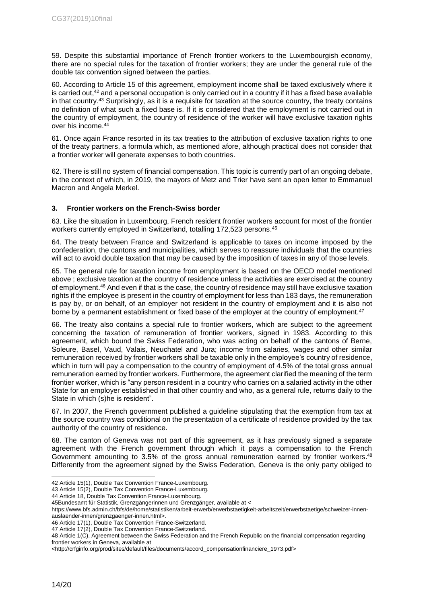59. Despite this substantial importance of French frontier workers to the Luxembourgish economy, there are no special rules for the taxation of frontier workers; they are under the general rule of the double tax convention signed between the parties.

60. According to Article 15 of this agreement, employment income shall be taxed exclusively where it is carried out, <sup>42</sup> and a personal occupation is only carried out in a country if it has a fixed base available in that country. <sup>43</sup> Surprisingly, as it is a requisite for taxation at the source country, the treaty contains no definition of what such a fixed base is. If it is considered that the employment is not carried out in the country of employment, the country of residence of the worker will have exclusive taxation rights over his income. 44

61. Once again France resorted in its tax treaties to the attribution of exclusive taxation rights to one of the treaty partners, a formula which, as mentioned afore, although practical does not consider that a frontier worker will generate expenses to both countries.

62. There is still no system of financial compensation. This topic is currently part of an ongoing debate, in the context of which, in 2019, the mayors of Metz and Trier have sent an open letter to Emmanuel Macron and Angela Merkel.

#### <span id="page-13-0"></span>**3. Frontier workers on the French-Swiss border**

63. Like the situation in Luxembourg, French resident frontier workers account for most of the frontier workers currently employed in Switzerland, totalling 172,523 persons. 45

64. The treaty between France and Switzerland is applicable to taxes on income imposed by the confederation, the cantons and municipalities, which serves to reassure individuals that the countries will act to avoid double taxation that may be caused by the imposition of taxes in any of those levels.

65. The general rule for taxation income from employment is based on the OECD model mentioned above ; exclusive taxation at the country of residence unless the activities are exercised at the country of employment.<sup>46</sup> And even if that is the case, the country of residence may still have exclusive taxation rights if the employee is present in the country of employment for less than 183 days, the remuneration is pay by, or on behalf, of an employer not resident in the country of employment and it is also not borne by a permanent establishment or fixed base of the employer at the country of employment.<sup>47</sup>

66. The treaty also contains a special rule to frontier workers, which are subject to the agreement concerning the taxation of remuneration of frontier workers, signed in 1983. According to this agreement, which bound the Swiss Federation, who was acting on behalf of the cantons of Berne, Soleure, Basel, Vaud, Valais, Neuchatel and Jura; income from salaries, wages and other similar remuneration received by frontier workers shall be taxable only in the employee's country of residence, which in turn will pay a compensation to the country of employment of 4.5% of the total gross annual remuneration earned by frontier workers. Furthermore, the agreement clarified the meaning of the term frontier worker, which is "any person resident in a country who carries on a salaried activity in the other State for an employer established in that other country and who, as a general rule, returns daily to the State in which (s)he is resident".

67. In 2007, the French government published a guideline stipulating that the exemption from tax at the source country was conditional on the presentation of a certificate of residence provided by the tax authority of the country of residence.

68. The canton of Geneva was not part of this agreement, as it has previously signed a separate agreement with the French government through which it pays a compensation to the French Government amounting to 3.5% of the gross annual remuneration earned by frontier workers.<sup>48</sup> Differently from the agreement signed by the Swiss Federation, Geneva is the only party obliged to

43 Article 15(2), Double Tax Convention France-Luxembourg.

https://www.bfs.admin.ch/bfs/de/home/statistiken/arbeit-erwerb/erwerbstaetigkeit-arbeitszeit/erwerbstaetige/schweizer-innen-

auslaender-innen/grenzgaenger-innen.html>.

<sup>42</sup> Article 15(1), Double Tax Convention France-Luxembourg.

<sup>44</sup> Article 18, Double Tax Convention France-Luxembourg.

<sup>45</sup>Bundesamt für Statistik, Grenzgängerinnen und Grenzgänger, available at <

<sup>46</sup> Article 17(1), Double Tax Convention France-Switzerland. 47 Article 17(2), Double Tax Convention France-Switzerland.

<sup>48</sup> Article 1(C), Agreement between the Swiss Federation and the French Republic on the financial compensation regarding frontier workers in Geneva, available at

<sup>&</sup>lt;http://crfginfo.org/prod/sites/default/files/documents/accord\_compensationfinanciere\_1973.pdf>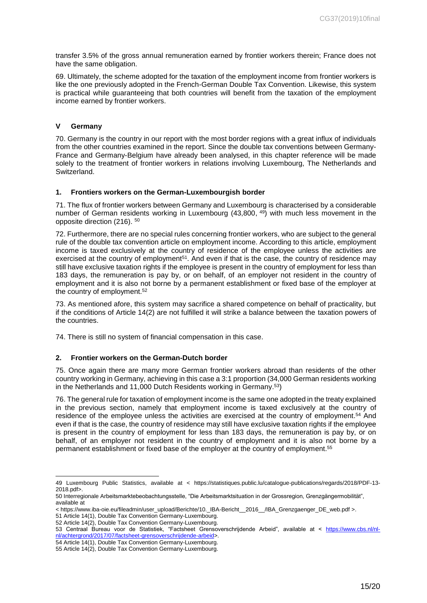transfer 3.5% of the gross annual remuneration earned by frontier workers therein; France does not have the same obligation.

69. Ultimately, the scheme adopted for the taxation of the employment income from frontier workers is like the one previously adopted in the French-German Double Tax Convention. Likewise, this system is practical while guaranteeing that both countries will benefit from the taxation of the employment income earned by frontier workers.

### <span id="page-14-0"></span>**V Germany**

70. Germany is the country in our report with the most border regions with a great influx of individuals from the other countries examined in the report. Since the double tax conventions between Germany-France and Germany-Belgium have already been analysed, in this chapter reference will be made solely to the treatment of frontier workers in relations involving Luxembourg, The Netherlands and **Switzerland** 

#### <span id="page-14-1"></span>**1. Frontiers workers on the German-Luxembourgish border**

71. The flux of frontier workers between Germany and Luxembourg is characterised by a considerable number of German residents working in Luxembourg (43,800, <sup>49</sup>) with much less movement in the opposite direction (216). 50

72. Furthermore, there are no special rules concerning frontier workers, who are subject to the general rule of the double tax convention article on employment income. According to this article, employment income is taxed exclusively at the country of residence of the employee unless the activities are exercised at the country of employment<sup>51</sup>. And even if that is the case, the country of residence may still have exclusive taxation rights if the employee is present in the country of employment for less than 183 days, the remuneration is pay by, or on behalf, of an employer not resident in the country of employment and it is also not borne by a permanent establishment or fixed base of the employer at the country of employment. 52

73. As mentioned afore, this system may sacrifice a shared competence on behalf of practicality, but if the conditions of Article 14(2) are not fulfilled it will strike a balance between the taxation powers of the countries.

74. There is still no system of financial compensation in this case.

## <span id="page-14-2"></span>**2. Frontier workers on the German-Dutch border**

75. Once again there are many more German frontier workers abroad than residents of the other country working in Germany, achieving in this case a 3:1 proportion (34,000 German residents working in the Netherlands and 11,000 Dutch Residents working in Germany. <sup>53</sup>)

76. The general rule for taxation of employment income is the same one adopted in the treaty explained in the previous section, namely that employment income is taxed exclusively at the country of residence of the employee unless the activities are exercised at the country of employment.<sup>54</sup> And even if that is the case, the country of residence may still have exclusive taxation rights if the employee is present in the country of employment for less than 183 days, the remuneration is pay by, or on behalf, of an employer not resident in the country of employment and it is also not borne by a permanent establishment or fixed base of the employer at the country of employment. 55

<sup>49</sup> Luxembourg Public Statistics, available at < https://statistiques.public.lu/catalogue-publications/regards/2018/PDF-13- 2018.pdf>.

<sup>50</sup> Interregionale Arbeitsmarktebeobachtungsstelle, "Die Arbeitsmarktsituation in der Grossregion, Grenzgängermobilität", available at

<sup>&</sup>lt; https://www.iba-oie.eu/fileadmin/user\_upload/Berichte/10.\_IBA-Bericht\_\_2016\_\_/IBA\_Grenzgaenger\_DE\_web.pdf >.

<sup>51</sup> Article 14(1), Double Tax Convention Germany-Luxembourg.

<sup>52</sup> Article 14(2), Double Tax Convention Germany-Luxembourg.

<sup>53</sup> Centraal Bureau voor de Statistiek, "Factsheet Grensoverschrijdende Arbeid", available at < [https://www.cbs.nl/nl](https://www.cbs.nl/nl-nl/achtergrond/2017/07/factsheet-grensoverschrijdende-arbeid)[nl/achtergrond/2017/07/factsheet-grensoverschrijdende-arbeid>](https://www.cbs.nl/nl-nl/achtergrond/2017/07/factsheet-grensoverschrijdende-arbeid).

<sup>54</sup> Article 14(1), Double Tax Convention Germany-Luxembourg.

<sup>55</sup> Article 14(2), Double Tax Convention Germany-Luxembourg.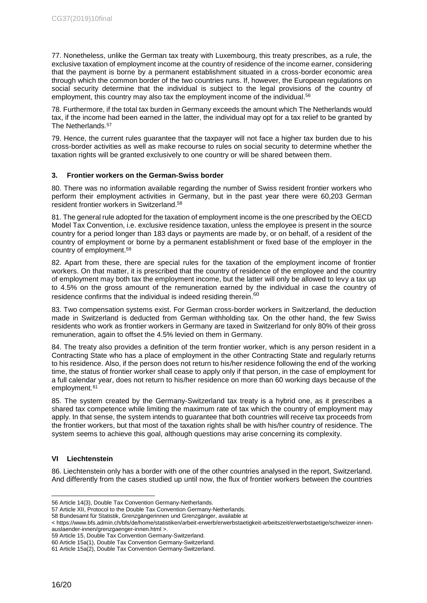77. Nonetheless, unlike the German tax treaty with Luxembourg, this treaty prescribes, as a rule, the exclusive taxation of employment income at the country of residence of the income earner, considering that the payment is borne by a permanent establishment situated in a cross-border economic area through which the common border of the two countries runs. If, however, the European regulations on social security determine that the individual is subject to the legal provisions of the country of employment, this country may also tax the employment income of the individual. 56

78. Furthermore, if the total tax burden in Germany exceeds the amount which The Netherlands would tax, if the income had been earned in the latter, the individual may opt for a tax relief to be granted by The Netherlands. 57

79. Hence, the current rules guarantee that the taxpayer will not face a higher tax burden due to his cross-border activities as well as make recourse to rules on social security to determine whether the taxation rights will be granted exclusively to one country or will be shared between them.

#### <span id="page-15-0"></span>**3. Frontier workers on the German-Swiss border**

80. There was no information available regarding the number of Swiss resident frontier workers who perform their employment activities in Germany, but in the past year there were 60,203 German resident frontier workers in Switzerland. 58

81. The general rule adopted for the taxation of employment income is the one prescribed by the OECD Model Tax Convention, i.e. exclusive residence taxation, unless the employee is present in the source country for a period longer than 183 days or payments are made by, or on behalf, of a resident of the country of employment or borne by a permanent establishment or fixed base of the employer in the country of employment. 59

82. Apart from these, there are special rules for the taxation of the employment income of frontier workers. On that matter, it is prescribed that the country of residence of the employee and the country of employment may both tax the employment income, but the latter will only be allowed to levy a tax up to 4.5% on the gross amount of the remuneration earned by the individual in case the country of residence confirms that the individual is indeed residing therein.  $^{60}$ 

83. Two compensation systems exist. For German cross-border workers in Switzerland, the deduction made in Switzerland is deducted from German withholding tax. On the other hand, the few Swiss residents who work as frontier workers in Germany are taxed in Switzerland for only 80% of their gross remuneration, again to offset the 4.5% levied on them in Germany.

84. The treaty also provides a definition of the term frontier worker, which is any person resident in a Contracting State who has a place of employment in the other Contracting State and regularly returns to his residence. Also, if the person does not return to his/her residence following the end of the working time, the status of frontier worker shall cease to apply only if that person, in the case of employment for a full calendar year, does not return to his/her residence on more than 60 working days because of the employment. 61

85. The system created by the Germany-Switzerland tax treaty is a hybrid one, as it prescribes a shared tax competence while limiting the maximum rate of tax which the country of employment may apply. In that sense, the system intends to guarantee that both countries will receive tax proceeds from the frontier workers, but that most of the taxation rights shall be with his/her country of residence. The system seems to achieve this goal, although questions may arise concerning its complexity.

## <span id="page-15-1"></span>**VI Liechtenstein**

86. Liechtenstein only has a border with one of the other countries analysed in the report, Switzerland. And differently from the cases studied up until now, the flux of frontier workers between the countries

<sup>-</sup>56 Article 14(3), Double Tax Convention Germany-Netherlands.

<sup>57</sup> Article XII, Protocol to the Double Tax Convention Germany-Netherlands.

<sup>58</sup> Bundesamt für Statistik, Grenzgängerinnen und Grenzgänger, available at

<sup>&</sup>lt; https://www.bfs.admin.ch/bfs/de/home/statistiken/arbeit-erwerb/erwerbstaetigkeit-arbeitszeit/erwerbstaetige/schweizer-innenauslaender-innen/grenzgaenger-innen.html >.

<sup>59</sup> Article 15, Double Tax Convention Germany-Switzerland.

<sup>60</sup> Article 15a(1), Double Tax Convention Germany-Switzerland.

<sup>61</sup> Article 15a(2), Double Tax Convention Germany-Switzerland.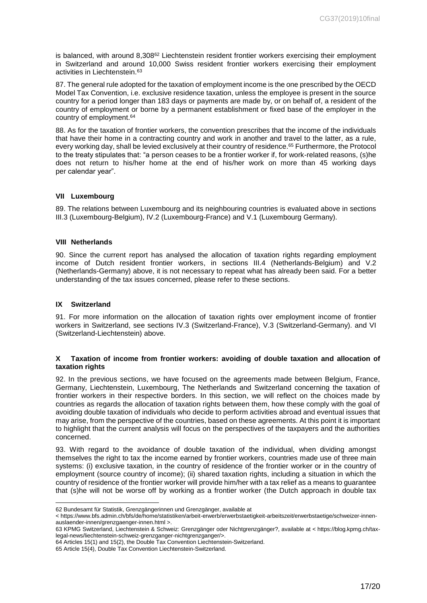is balanced, with around 8,308<sup>62</sup> Liechtenstein resident frontier workers exercising their employment in Switzerland and around 10,000 Swiss resident frontier workers exercising their employment activities in Liechtenstein. 63

87. The general rule adopted for the taxation of employment income is the one prescribed by the OECD Model Tax Convention, i.e. exclusive residence taxation, unless the employee is present in the source country for a period longer than 183 days or payments are made by, or on behalf of, a resident of the country of employment or borne by a permanent establishment or fixed base of the employer in the country of employment. 64

88. As for the taxation of frontier workers, the convention prescribes that the income of the individuals that have their home in a contracting country and work in another and travel to the latter, as a rule, every working day, shall be levied exclusively at their country of residence. <sup>65</sup> Furthermore, the Protocol to the treaty stipulates that: "a person ceases to be a frontier worker if, for work-related reasons, (s)he does not return to his/her home at the end of his/her work on more than 45 working days per calendar year".

#### <span id="page-16-0"></span>**VII Luxembourg**

89. The relations between Luxembourg and its neighbouring countries is evaluated above in sections III.3 (Luxembourg-Belgium), IV.2 (Luxembourg-France) and V.1 (Luxembourg Germany).

#### <span id="page-16-1"></span>**VIII Netherlands**

90. Since the current report has analysed the allocation of taxation rights regarding employment income of Dutch resident frontier workers, in sections III.4 (Netherlands-Belgium) and V.2 (Netherlands-Germany) above, it is not necessary to repeat what has already been said. For a better understanding of the tax issues concerned, please refer to these sections.

#### <span id="page-16-2"></span>**IX Switzerland**

91. For more information on the allocation of taxation rights over employment income of frontier workers in Switzerland, see sections IV.3 (Switzerland-France), V.3 (Switzerland-Germany). and VI (Switzerland-Liechtenstein) above.

#### <span id="page-16-3"></span>**X Taxation of income from frontier workers: avoiding of double taxation and allocation of taxation rights**

92. In the previous sections, we have focused on the agreements made between Belgium, France, Germany, Liechtenstein, Luxembourg, The Netherlands and Switzerland concerning the taxation of frontier workers in their respective borders. In this section, we will reflect on the choices made by countries as regards the allocation of taxation rights between them, how these comply with the goal of avoiding double taxation of individuals who decide to perform activities abroad and eventual issues that may arise, from the perspective of the countries, based on these agreements. At this point it is important to highlight that the current analysis will focus on the perspectives of the taxpayers and the authorities concerned.

93. With regard to the avoidance of double taxation of the individual, when dividing amongst themselves the right to tax the income earned by frontier workers, countries made use of three main systems: (i) exclusive taxation, in the country of residence of the frontier worker or in the country of employment (source country of income); (ii) shared taxation rights, including a situation in which the country of residence of the frontier worker will provide him/her with a tax relief as a means to guarantee that (s)he will not be worse off by working as a frontier worker (the Dutch approach in double tax

<sup>-</sup>62 Bundesamt für Statistik, Grenzgängerinnen und Grenzgänger, available at

<sup>&</sup>lt; https://www.bfs.admin.ch/bfs/de/home/statistiken/arbeit-erwerb/erwerbstaetigkeit-arbeitszeit/erwerbstaetige/schweizer-innenauslaender-innen/grenzgaenger-innen.html >.

<sup>63</sup> KPMG Switzerland, Liechtenstein & Schweiz: Grenzgänger oder Nichtgrenzgänger?, available at < https://blog.kpmg.ch/taxlegal-news/liechtenstein-schweiz-grenzganger-nichtgrenzganger/>.

<sup>64</sup> Articles 15(1) and 15(2), the Double Tax Convention Liechtenstein-Switzerland.

<sup>65</sup> Article 15(4), Double Tax Convention Liechtenstein-Switzerland.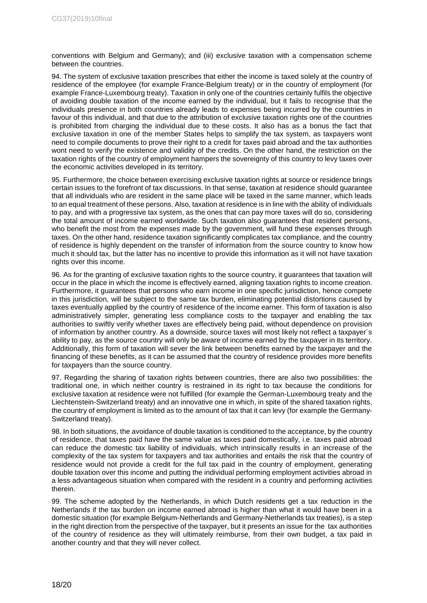conventions with Belgium and Germany); and (iii) exclusive taxation with a compensation scheme between the countries.

94. The system of exclusive taxation prescribes that either the income is taxed solely at the country of residence of the employee (for example France-Belgium treaty) or in the country of employment (for example France-Luxembourg treaty). Taxation in only one of the countries certainly fulfils the objective of avoiding double taxation of the income earned by the individual, but it fails to recognise that the individuals presence in both countries already leads to expenses being incurred by the countries in favour of this individual, and that due to the attribution of exclusive taxation rights one of the countries is prohibited from charging the individual due to these costs. It also has as a bonus the fact that exclusive taxation in one of the member States helps to simplify the tax system, as taxpayers wont need to compile documents to prove their right to a credit for taxes paid abroad and the tax authorities wont need to verify the existence and validity of the credits. On the other hand, the restriction on the taxation rights of the country of employment hampers the sovereignty of this country to levy taxes over the economic activities developed in its territory.

95. Furthermore, the choice between exercising exclusive taxation rights at source or residence brings certain issues to the forefront of tax discussions. In that sense, taxation at residence should guarantee that all individuals who are resident in the same place will be taxed in the same manner, which leads to an equal treatment of these persons. Also, taxation at residence is in line with the ability of individuals to pay, and with a progressive tax system, as the ones that can pay more taxes will do so, considering the total amount of income earned worldwide. Such taxation also guarantees that resident persons, who benefit the most from the expenses made by the government, will fund these expenses through taxes. On the other hand, residence taxation significantly complicates tax compliance, and the country of residence is highly dependent on the transfer of information from the source country to know how much it should tax, but the latter has no incentive to provide this information as it will not have taxation rights over this income.

96. As for the granting of exclusive taxation rights to the source country, it guarantees that taxation will occur in the place in which the income is effectively earned, aligning taxation rights to income creation. Furthermore, it guarantees that persons who earn income in one specific jurisdiction, hence compete in this jurisdiction, will be subject to the same tax burden, eliminating potential distortions caused by taxes eventually applied by the country of residence of the income earner. This form of taxation is also administratively simpler, generating less compliance costs to the taxpayer and enabling the tax authorities to swiftly verify whether taxes are effectively being paid, without dependence on provision of information by another country. As a downside, source taxes will most likely not reflect a taxpayer´s ability to pay, as the source country will only be aware of income earned by the taxpayer in its territory. Additionally, this form of taxation will sever the link between benefits earned by the taxpayer and the financing of these benefits, as it can be assumed that the country of residence provides more benefits for taxpayers than the source country.

97. Regarding the sharing of taxation rights between countries, there are also two possibilities: the traditional one, in which neither country is restrained in its right to tax because the conditions for exclusive taxation at residence were not fulfilled (for example the German-Luxembourg treaty and the Liechtenstein-Switzerland treaty) and an innovative one in which, in spite of the shared taxation rights, the country of employment is limited as to the amount of tax that it can levy (for example the Germany-Switzerland treaty).

98. In both situations, the avoidance of double taxation is conditioned to the acceptance, by the country of residence, that taxes paid have the same value as taxes paid domestically, i.e. taxes paid abroad can reduce the domestic tax liability of individuals, which intrinsically results in an increase of the complexity of the tax system for taxpayers and tax authorities and entails the risk that the country of residence would not provide a credit for the full tax paid in the country of employment, generating double taxation over this income and putting the individual performing employment activities abroad in a less advantageous situation when compared with the resident in a country and performing activities therein.

99. The scheme adopted by the Netherlands, in which Dutch residents get a tax reduction in the Netherlands if the tax burden on income earned abroad is higher than what it would have been in a domestic situation (for example Belgium-Netherlands and Germany-Netherlands tax treaties), is a step in the right direction from the perspective of the taxpayer, but it presents an issue for the tax authorities of the country of residence as they will ultimately reimburse, from their own budget, a tax paid in another country and that they will never collect.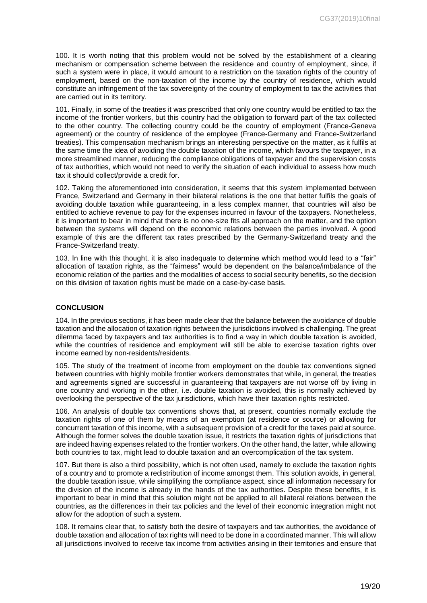100. It is worth noting that this problem would not be solved by the establishment of a clearing mechanism or compensation scheme between the residence and country of employment, since, if such a system were in place, it would amount to a restriction on the taxation rights of the country of employment, based on the non-taxation of the income by the country of residence, which would constitute an infringement of the tax sovereignty of the country of employment to tax the activities that are carried out in its territory.

101. Finally, in some of the treaties it was prescribed that only one country would be entitled to tax the income of the frontier workers, but this country had the obligation to forward part of the tax collected to the other country. The collecting country could be the country of employment (France-Geneva agreement) or the country of residence of the employee (France-Germany and France-Switzerland treaties). This compensation mechanism brings an interesting perspective on the matter, as it fulfils at the same time the idea of avoiding the double taxation of the income, which favours the taxpayer, in a more streamlined manner, reducing the compliance obligations of taxpayer and the supervision costs of tax authorities, which would not need to verify the situation of each individual to assess how much tax it should collect/provide a credit for.

102. Taking the aforementioned into consideration, it seems that this system implemented between France, Switzerland and Germany in their bilateral relations is the one that better fulfils the goals of avoiding double taxation while guaranteeing, in a less complex manner, that countries will also be entitled to achieve revenue to pay for the expenses incurred in favour of the taxpayers. Nonetheless, it is important to bear in mind that there is no one-size fits all approach on the matter, and the option between the systems will depend on the economic relations between the parties involved. A good example of this are the different tax rates prescribed by the Germany-Switzerland treaty and the France-Switzerland treaty.

103. In line with this thought, it is also inadequate to determine which method would lead to a "fair" allocation of taxation rights, as the "fairness" would be dependent on the balance/imbalance of the economic relation of the parties and the modalities of access to social security benefits, so the decision on this division of taxation rights must be made on a case-by-case basis.

#### <span id="page-18-0"></span>**CONCLUSION**

104. In the previous sections, it has been made clear that the balance between the avoidance of double taxation and the allocation of taxation rights between the jurisdictions involved is challenging. The great dilemma faced by taxpayers and tax authorities is to find a way in which double taxation is avoided, while the countries of residence and employment will still be able to exercise taxation rights over income earned by non-residents/residents.

105. The study of the treatment of income from employment on the double tax conventions signed between countries with highly mobile frontier workers demonstrates that while, in general, the treaties and agreements signed are successful in guaranteeing that taxpayers are not worse off by living in one country and working in the other, i.e. double taxation is avoided, this is normally achieved by overlooking the perspective of the tax jurisdictions, which have their taxation rights restricted.

106. An analysis of double tax conventions shows that, at present, countries normally exclude the taxation rights of one of them by means of an exemption (at residence or source) or allowing for concurrent taxation of this income, with a subsequent provision of a credit for the taxes paid at source. Although the former solves the double taxation issue, it restricts the taxation rights of jurisdictions that are indeed having expenses related to the frontier workers. On the other hand, the latter, while allowing both countries to tax, might lead to double taxation and an overcomplication of the tax system.

107. But there is also a third possibility, which is not often used, namely to exclude the taxation rights of a country and to promote a redistribution of income amongst them. This solution avoids, in general, the double taxation issue, while simplifying the compliance aspect, since all information necessary for the division of the income is already in the hands of the tax authorities. Despite these benefits, it is important to bear in mind that this solution might not be applied to all bilateral relations between the countries, as the differences in their tax policies and the level of their economic integration might not allow for the adoption of such a system.

108. It remains clear that, to satisfy both the desire of taxpayers and tax authorities, the avoidance of double taxation and allocation of tax rights will need to be done in a coordinated manner. This will allow all jurisdictions involved to receive tax income from activities arising in their territories and ensure that